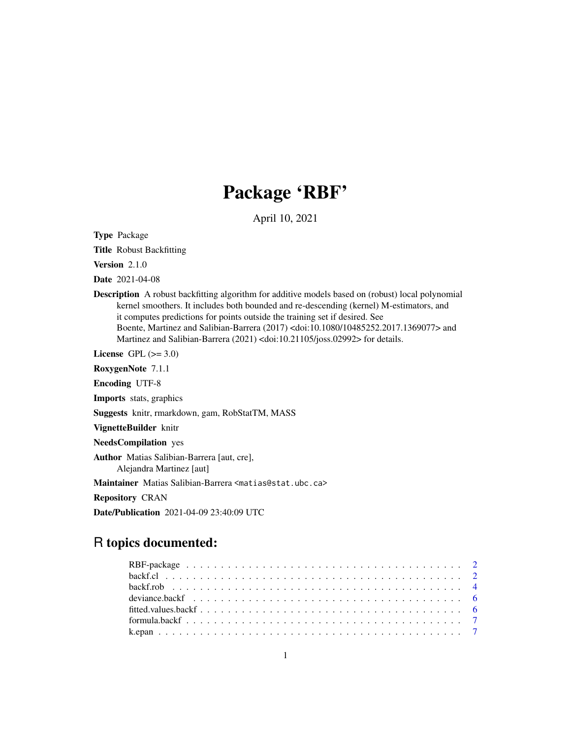## Package 'RBF'

April 10, 2021

<span id="page-0-0"></span>Type Package

Title Robust Backfitting

Version 2.1.0

Date 2021-04-08

Description A robust backfitting algorithm for additive models based on (robust) local polynomial kernel smoothers. It includes both bounded and re-descending (kernel) M-estimators, and it computes predictions for points outside the training set if desired. See Boente, Martinez and Salibian-Barrera (2017) <doi:10.1080/10485252.2017.1369077> and Martinez and Salibian-Barrera (2021) <doi:10.21105/joss.02992> for details.

License GPL  $(>= 3.0)$ 

RoxygenNote 7.1.1

Encoding UTF-8

Imports stats, graphics

Suggests knitr, rmarkdown, gam, RobStatTM, MASS

VignetteBuilder knitr

NeedsCompilation yes

Author Matias Salibian-Barrera [aut, cre], Alejandra Martinez [aut]

Maintainer Matias Salibian-Barrera <matias@stat.ubc.ca>

Repository CRAN

Date/Publication 2021-04-09 23:40:09 UTC

## R topics documented: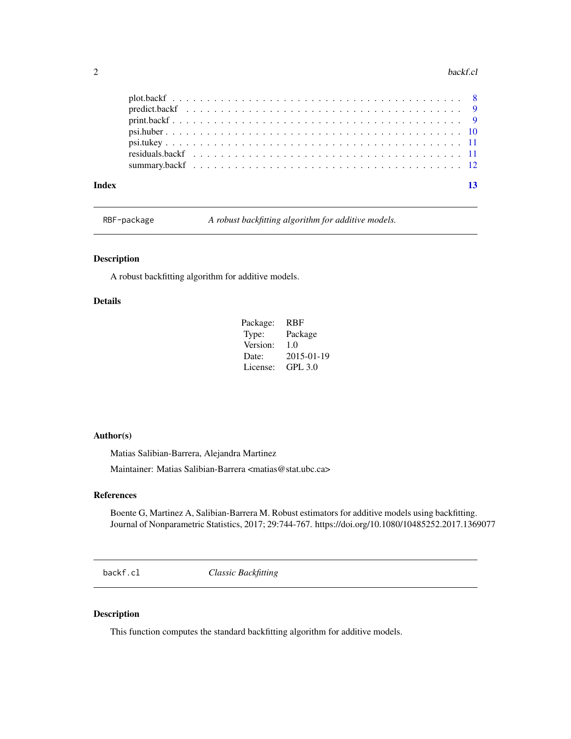#### <span id="page-1-0"></span> $2 \text{ backf.}$ cl

| Index |  |  |  |  |  |  |  |  |  |  |  |  |  |  |  |  |  |  |  | 13 |
|-------|--|--|--|--|--|--|--|--|--|--|--|--|--|--|--|--|--|--|--|----|
|       |  |  |  |  |  |  |  |  |  |  |  |  |  |  |  |  |  |  |  |    |
|       |  |  |  |  |  |  |  |  |  |  |  |  |  |  |  |  |  |  |  |    |
|       |  |  |  |  |  |  |  |  |  |  |  |  |  |  |  |  |  |  |  |    |
|       |  |  |  |  |  |  |  |  |  |  |  |  |  |  |  |  |  |  |  |    |
|       |  |  |  |  |  |  |  |  |  |  |  |  |  |  |  |  |  |  |  |    |
|       |  |  |  |  |  |  |  |  |  |  |  |  |  |  |  |  |  |  |  |    |
|       |  |  |  |  |  |  |  |  |  |  |  |  |  |  |  |  |  |  |  |    |

RBF-package *A robust backfitting algorithm for additive models.*

## Description

A robust backfitting algorithm for additive models.

## Details

| Package: | RBF        |
|----------|------------|
| Type:    | Package    |
| Version: | 1.0        |
| Date:    | 2015-01-19 |
| License: | GPL 3.0    |

## Author(s)

Matias Salibian-Barrera, Alejandra Martinez Maintainer: Matias Salibian-Barrera <matias@stat.ubc.ca>

#### References

Boente G, Martinez A, Salibian-Barrera M. Robust estimators for additive models using backfitting. Journal of Nonparametric Statistics, 2017; 29:744-767. https://doi.org/10.1080/10485252.2017.1369077

<span id="page-1-1"></span>backf.cl *Classic Backfitting*

## Description

This function computes the standard backfitting algorithm for additive models.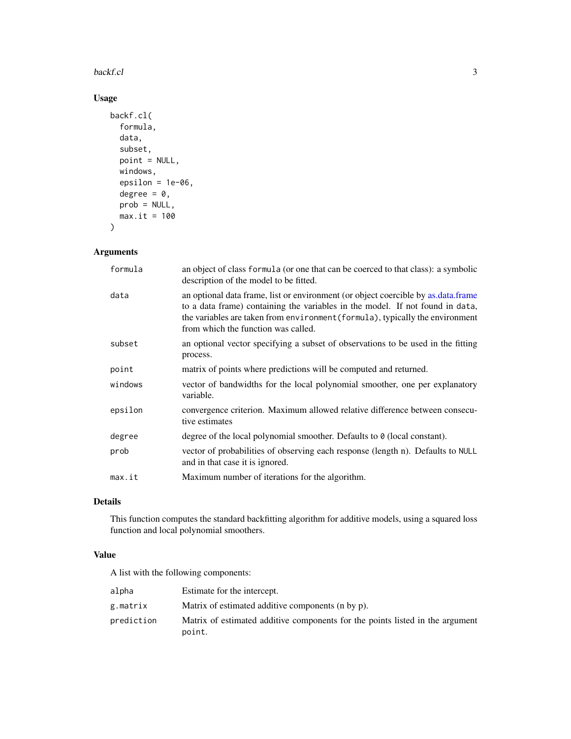#### <span id="page-2-0"></span>backf.cl 3

## Usage

```
backf.cl(
  formula,
  data,
  subset,
 point = NULL,
 windows,
 epsilon = 1e-06,
  degree = 0,
 prob = NULL,
 max.it = 100)
```
## Arguments

| formula | an object of class formula (or one that can be coerced to that class): a symbolic<br>description of the model to be fitted.                                                                                                                                                                |
|---------|--------------------------------------------------------------------------------------------------------------------------------------------------------------------------------------------------------------------------------------------------------------------------------------------|
| data    | an optional data frame, list or environment (or object coercible by as data frame<br>to a data frame) containing the variables in the model. If not found in data,<br>the variables are taken from environment (formula), typically the environment<br>from which the function was called. |
| subset  | an optional vector specifying a subset of observations to be used in the fitting<br>process.                                                                                                                                                                                               |
| point   | matrix of points where predictions will be computed and returned.                                                                                                                                                                                                                          |
| windows | vector of bandwidths for the local polynomial smoother, one per explanatory<br>variable.                                                                                                                                                                                                   |
| epsilon | convergence criterion. Maximum allowed relative difference between consecu-<br>tive estimates                                                                                                                                                                                              |
| degree  | degree of the local polynomial smoother. Defaults to 0 (local constant).                                                                                                                                                                                                                   |
| prob    | vector of probabilities of observing each response (length n). Defaults to NULL<br>and in that case it is ignored.                                                                                                                                                                         |
| max.it  | Maximum number of iterations for the algorithm.                                                                                                                                                                                                                                            |
|         |                                                                                                                                                                                                                                                                                            |

## Details

This function computes the standard backfitting algorithm for additive models, using a squared loss function and local polynomial smoothers.

## Value

A list with the following components:

| alpha      | Estimate for the intercept.                                                             |
|------------|-----------------------------------------------------------------------------------------|
| g.matrix   | Matrix of estimated additive components (n by p).                                       |
| prediction | Matrix of estimated additive components for the points listed in the argument<br>point. |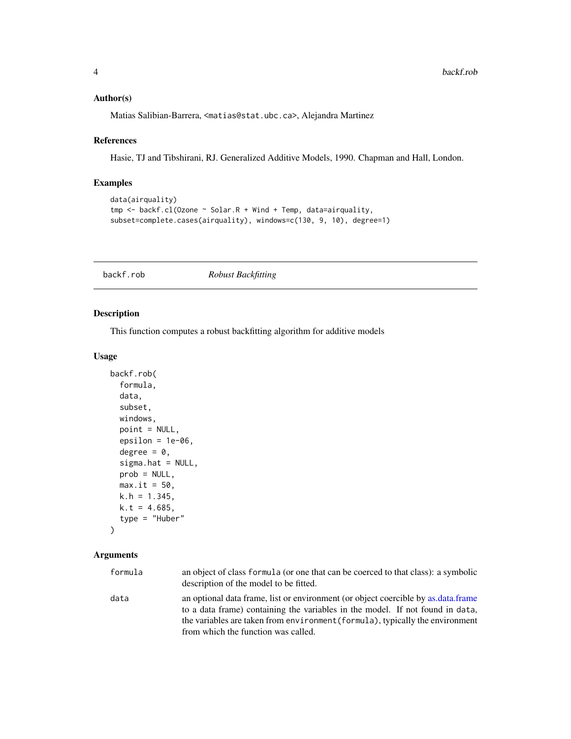#### <span id="page-3-0"></span>Author(s)

Matias Salibian-Barrera, <matias@stat.ubc.ca>, Alejandra Martinez

#### References

Hasie, TJ and Tibshirani, RJ. Generalized Additive Models, 1990. Chapman and Hall, London.

## Examples

```
data(airquality)
tmp <- backf.cl(Ozone ~ Solar.R + Wind + Temp, data=airquality,
subset=complete.cases(airquality), windows=c(130, 9, 10), degree=1)
```
<span id="page-3-1"></span>

backf.rob *Robust Backfitting*

## Description

This function computes a robust backfitting algorithm for additive models

## Usage

```
backf.rob(
  formula,
  data,
  subset,
  windows,
  point = NULL,
  epsilon = 1e-06,
  degree = 0,
  sigma.hat = NULL,
  prob = NULL,
 max.it = 50,
 k.h = 1.345,
 k.t = 4.685,type = "Huber"
\lambda
```
#### Arguments

| formula | an object of class formula (or one that can be coerced to that class): a symbolic<br>description of the model to be fitted.                                        |
|---------|--------------------------------------------------------------------------------------------------------------------------------------------------------------------|
| data    | an optional data frame, list or environment (or object coercible by as data frame<br>to a data frame) containing the variables in the model. If not found in data, |
|         | the variables are taken from environment (formula), typically the environment                                                                                      |
|         | from which the function was called.                                                                                                                                |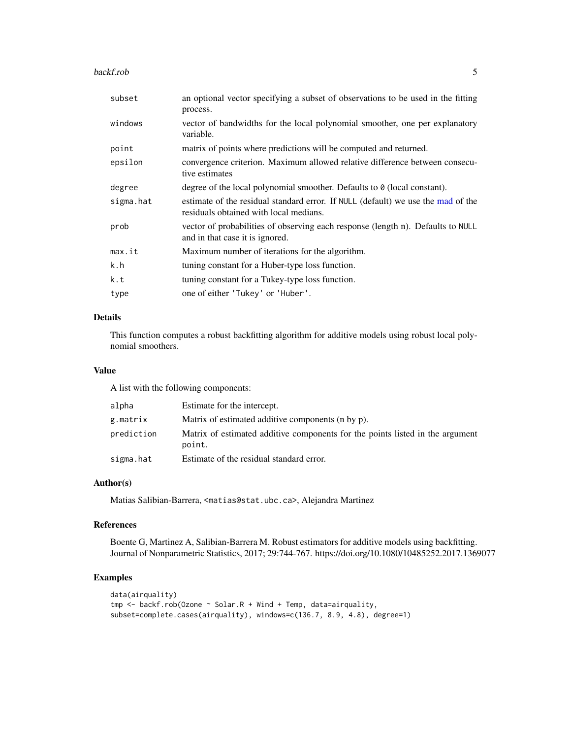#### <span id="page-4-0"></span>backf.rob 5

| subset    | an optional vector specifying a subset of observations to be used in the fitting<br>process.                               |
|-----------|----------------------------------------------------------------------------------------------------------------------------|
| windows   | vector of bandwidths for the local polynomial smoother, one per explanatory<br>variable.                                   |
| point     | matrix of points where predictions will be computed and returned.                                                          |
| epsilon   | convergence criterion. Maximum allowed relative difference between consecu-<br>tive estimates                              |
| degree    | degree of the local polynomial smoother. Defaults to 0 (local constant).                                                   |
| sigma.hat | estimate of the residual standard error. If NULL (default) we use the mad of the<br>residuals obtained with local medians. |
| prob      | vector of probabilities of observing each response (length n). Defaults to NULL<br>and in that case it is ignored.         |
| max.it    | Maximum number of iterations for the algorithm.                                                                            |
| k.h       | tuning constant for a Huber-type loss function.                                                                            |
| k.t       | tuning constant for a Tukey-type loss function.                                                                            |
| type      | one of either 'Tukey' or 'Huber'.                                                                                          |

### Details

This function computes a robust backfitting algorithm for additive models using robust local polynomial smoothers.

## Value

A list with the following components:

| alpha      | Estimate for the intercept.                                                             |
|------------|-----------------------------------------------------------------------------------------|
| g.matrix   | Matrix of estimated additive components (n by p).                                       |
| prediction | Matrix of estimated additive components for the points listed in the argument<br>point. |
| sigma.hat  | Estimate of the residual standard error.                                                |

## Author(s)

Matias Salibian-Barrera, <matias@stat.ubc.ca>, Alejandra Martinez

### References

Boente G, Martinez A, Salibian-Barrera M. Robust estimators for additive models using backfitting. Journal of Nonparametric Statistics, 2017; 29:744-767. https://doi.org/10.1080/10485252.2017.1369077

## Examples

```
data(airquality)
tmp <- backf.rob(Ozone ~ Solar.R + Wind + Temp, data=airquality,
subset=complete.cases(airquality), windows=c(136.7, 8.9, 4.8), degree=1)
```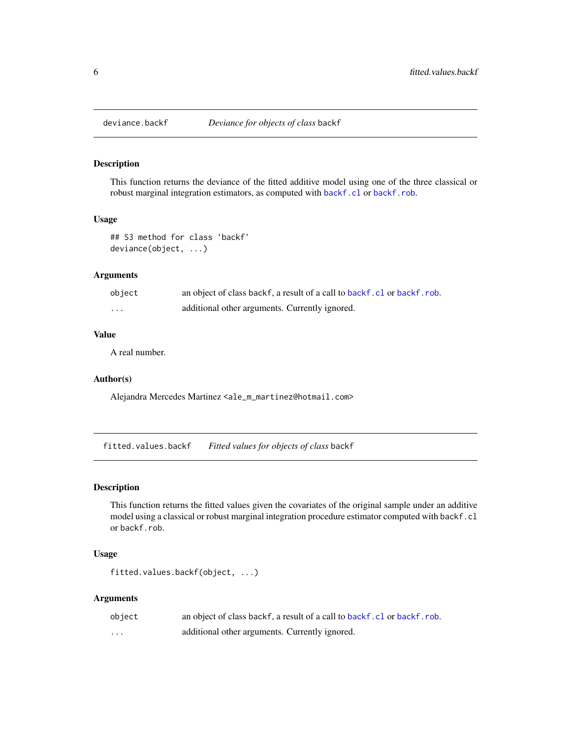<span id="page-5-0"></span>

## Description

This function returns the deviance of the fitted additive model using one of the three classical or robust marginal integration estimators, as computed with [backf.cl](#page-1-1) or [backf.rob](#page-3-1).

## Usage

```
## S3 method for class 'backf'
deviance(object, ...)
```
#### Arguments

| object  | an object of class backf, a result of a call to backf.cl or backf.rob. |
|---------|------------------------------------------------------------------------|
| $\cdot$ | additional other arguments. Currently ignored.                         |

### Value

A real number.

#### Author(s)

Alejandra Mercedes Martinez <ale\_m\_martinez@hotmail.com>

fitted.values.backf *Fitted values for objects of class* backf

#### Description

This function returns the fitted values given the covariates of the original sample under an additive model using a classical or robust marginal integration procedure estimator computed with backf.cl or backf.rob.

## Usage

```
fitted.values.backf(object, ...)
```
#### Arguments

| object   | an object of class backf, a result of a call to backf.cl or backf.rob. |
|----------|------------------------------------------------------------------------|
| $\cdots$ | additional other arguments. Currently ignored.                         |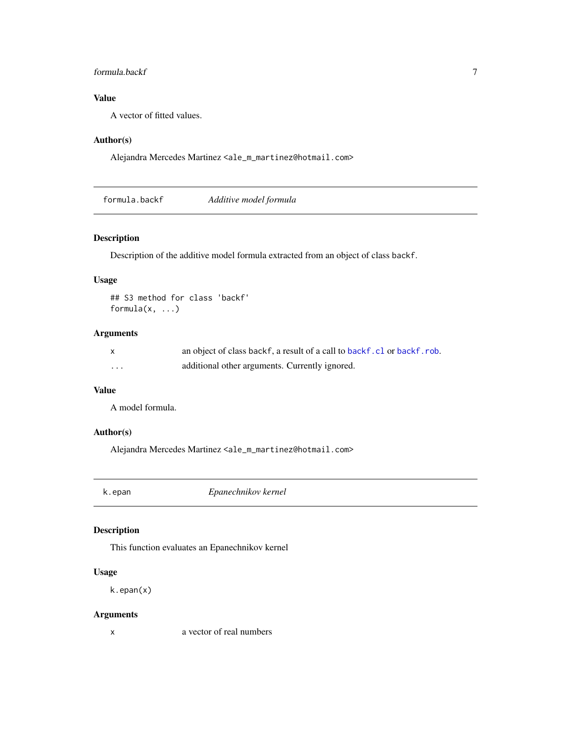## <span id="page-6-0"></span>formula.backf 7

## Value

A vector of fitted values.

## Author(s)

Alejandra Mercedes Martinez <ale\_m\_martinez@hotmail.com>

formula.backf *Additive model formula*

## Description

Description of the additive model formula extracted from an object of class backf.

#### Usage

```
## S3 method for class 'backf'
formula(x, \ldots)
```
## Arguments

|   | an object of class backf, a result of a call to backf.cl or backf.rob. |
|---|------------------------------------------------------------------------|
| . | additional other arguments. Currently ignored.                         |

## Value

A model formula.

## Author(s)

Alejandra Mercedes Martinez <ale\_m\_martinez@hotmail.com>

k.epan *Epanechnikov kernel*

## Description

This function evaluates an Epanechnikov kernel

## Usage

k.epan(x)

## Arguments

x a vector of real numbers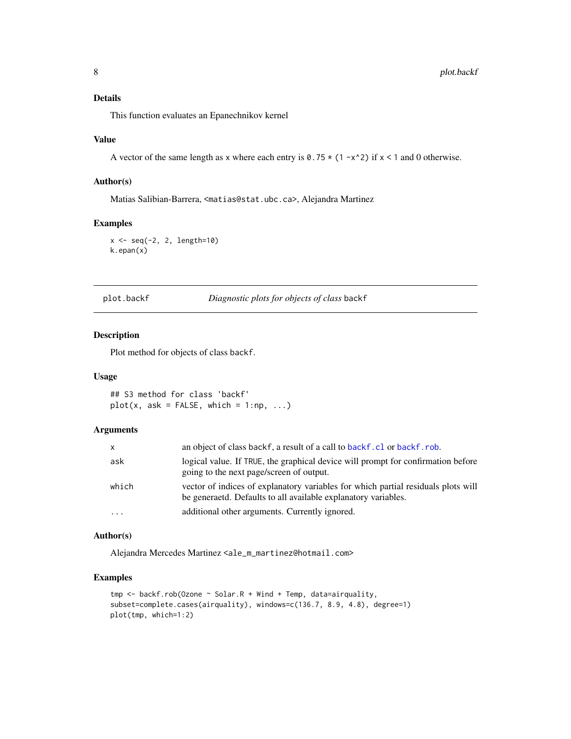## <span id="page-7-0"></span>Details

This function evaluates an Epanechnikov kernel

#### Value

A vector of the same length as x where each entry is  $0.75 \times (1 - x^2)$  if  $x < 1$  and 0 otherwise.

#### Author(s)

Matias Salibian-Barrera, <matias@stat.ubc.ca>, Alejandra Martinez

#### Examples

x <- seq(-2, 2, length=10) k.epan(x)

plot.backf *Diagnostic plots for objects of class* backf

#### Description

Plot method for objects of class backf.

#### Usage

## S3 method for class 'backf'  $plot(x, ask = FALSE, which = 1:np, ...)$ 

#### Arguments

| x        | an object of class backf, a result of a call to backf. cl or backf. rob.                                                                            |
|----------|-----------------------------------------------------------------------------------------------------------------------------------------------------|
| ask      | logical value. If TRUE, the graphical device will prompt for confirmation before<br>going to the next page/screen of output.                        |
| which    | vector of indices of explanatory variables for which partial residuals plots will<br>be generated. Defaults to all available explanatory variables. |
| $\ddots$ | additional other arguments. Currently ignored.                                                                                                      |

#### Author(s)

Alejandra Mercedes Martinez <ale\_m\_martinez@hotmail.com>

## Examples

```
tmp <- backf.rob(Ozone ~ Solar.R + Wind + Temp, data=airquality,
subset=complete.cases(airquality), windows=c(136.7, 8.9, 4.8), degree=1)
plot(tmp, which=1:2)
```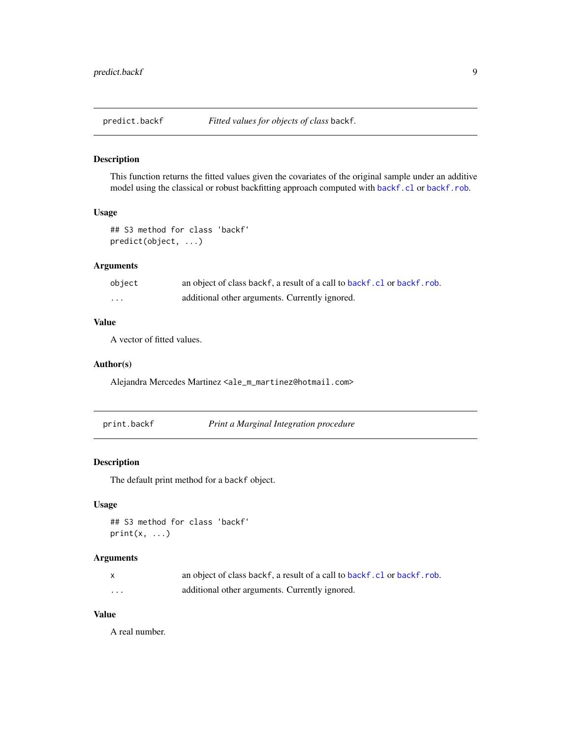<span id="page-8-0"></span>

## Description

This function returns the fitted values given the covariates of the original sample under an additive model using the classical or robust backfitting approach computed with [backf.cl](#page-1-1) or [backf.rob](#page-3-1).

## Usage

```
## S3 method for class 'backf'
predict(object, ...)
```
#### Arguments

| object | an object of class backf, a result of a call to backf.cl or backf.rob. |
|--------|------------------------------------------------------------------------|
| .      | additional other arguments. Currently ignored.                         |

## Value

A vector of fitted values.

#### Author(s)

Alejandra Mercedes Martinez <ale\_m\_martinez@hotmail.com>

|  | print.backf | Print a Marginal Integration procedure |  |
|--|-------------|----------------------------------------|--|
|--|-------------|----------------------------------------|--|

## Description

The default print method for a backf object.

## Usage

```
## S3 method for class 'backf'
print(x, \ldots)
```
## Arguments

|   | an object of class backf, a result of a call to backf.cl or backf.rob. |
|---|------------------------------------------------------------------------|
| . | additional other arguments. Currently ignored.                         |

## Value

A real number.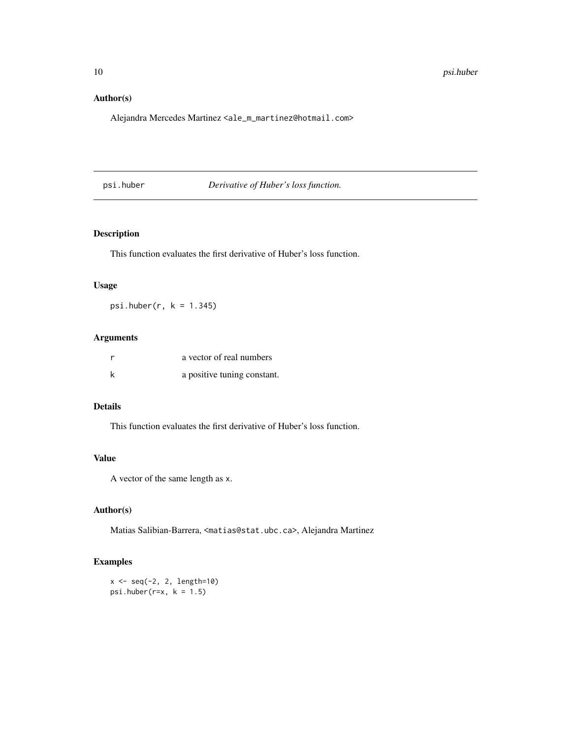## <span id="page-9-0"></span>Author(s)

Alejandra Mercedes Martinez <ale\_m\_martinez@hotmail.com>

psi.huber *Derivative of Huber's loss function.*

## Description

This function evaluates the first derivative of Huber's loss function.

#### Usage

psi.huber(r, k = 1.345)

## Arguments

| a vector of real numbers    |
|-----------------------------|
| a positive tuning constant. |

#### Details

This function evaluates the first derivative of Huber's loss function.

## Value

A vector of the same length as x.

#### Author(s)

Matias Salibian-Barrera, <matias@stat.ubc.ca>, Alejandra Martinez

## Examples

x <- seq(-2, 2, length=10) psi.huber( $r=x$ ,  $k = 1.5$ )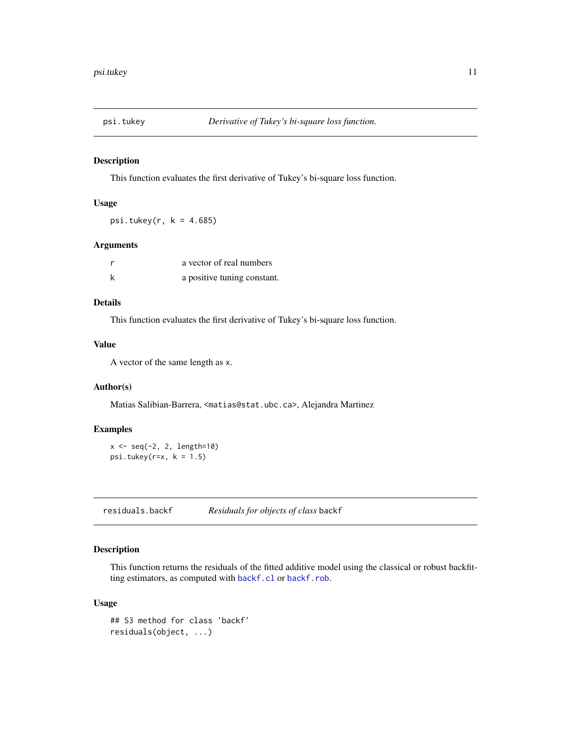<span id="page-10-0"></span>

## Description

This function evaluates the first derivative of Tukey's bi-square loss function.

#### Usage

psi.tukey( $r$ ,  $k = 4.685$ )

## Arguments

|   | a vector of real numbers    |
|---|-----------------------------|
| k | a positive tuning constant. |

## Details

This function evaluates the first derivative of Tukey's bi-square loss function.

#### Value

A vector of the same length as x.

#### Author(s)

Matias Salibian-Barrera, <matias@stat.ubc.ca>, Alejandra Martinez

#### Examples

x <- seq(-2, 2, length=10) psi.tukey( $r=x$ ,  $k = 1.5$ )

residuals.backf *Residuals for objects of class* backf

## Description

This function returns the residuals of the fitted additive model using the classical or robust backfitting estimators, as computed with [backf.cl](#page-1-1) or [backf.rob](#page-3-1).

#### Usage

```
## S3 method for class 'backf'
residuals(object, ...)
```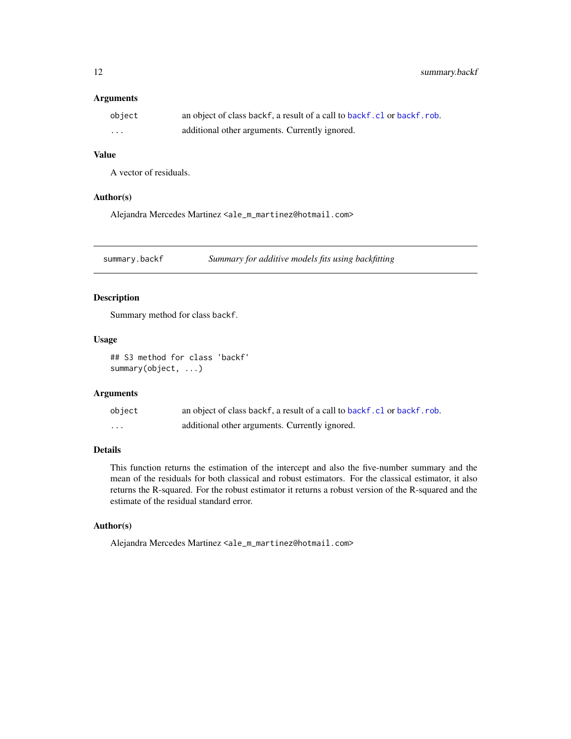<span id="page-11-0"></span>12 summary.backf

## Arguments

| object   | an object of class backf, a result of a call to backf.cl or backf.rob. |
|----------|------------------------------------------------------------------------|
| $\cdots$ | additional other arguments. Currently ignored.                         |

## Value

A vector of residuals.

#### Author(s)

Alejandra Mercedes Martinez <ale\_m\_martinez@hotmail.com>

summary.backf *Summary for additive models fits using backfitting*

## Description

Summary method for class backf.

## Usage

## S3 method for class 'backf' summary(object, ...)

## Arguments

| object | an object of class backf, a result of a call to backf.cl or backf.rob. |
|--------|------------------------------------------------------------------------|
| .      | additional other arguments. Currently ignored.                         |

#### Details

This function returns the estimation of the intercept and also the five-number summary and the mean of the residuals for both classical and robust estimators. For the classical estimator, it also returns the R-squared. For the robust estimator it returns a robust version of the R-squared and the estimate of the residual standard error.

## Author(s)

Alejandra Mercedes Martinez <ale\_m\_martinez@hotmail.com>